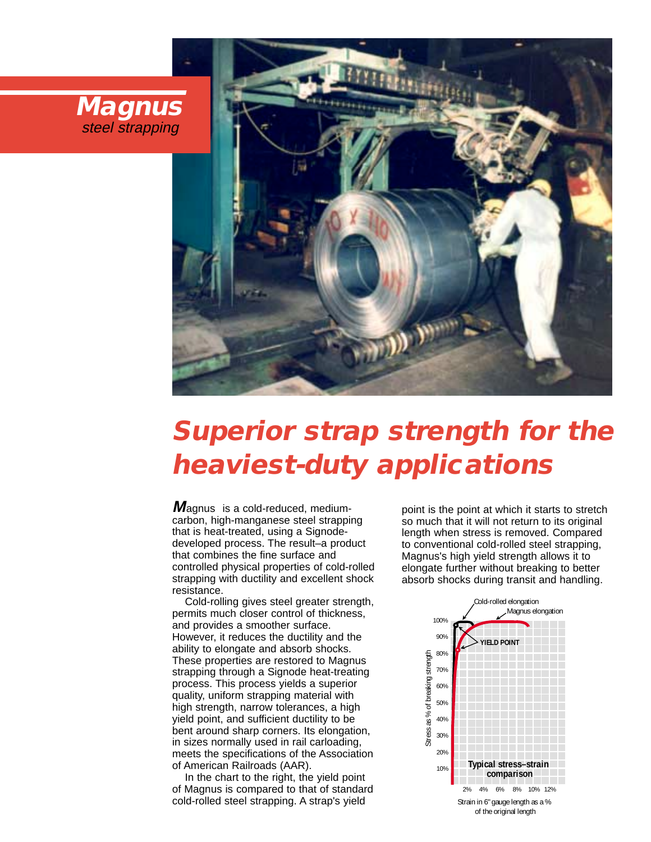



# **Superior strap strength for the heaviest-duty applications**

 $M$ agnus<sup>®</sup> is a cold-reduced, mediumcarbon, high-manganese steel strapping that is heat-treated, using a Signodedeveloped process. The result–a product that combines the fine surface and controlled physical properties of cold-rolled strapping with ductility and excellent shock resistance.

Cold-rolling gives steel greater strength, permits much closer control of thickness, and provides a smoother surface. However, it reduces the ductility and the ability to elongate and absorb shocks. These properties are restored to Magnus strapping through a Signode heat-treating process. This process yields a superior quality, uniform strapping material with high strength, narrow tolerances, a high yield point, and sufficient ductility to be bent around sharp corners. Its elongation, in sizes normally used in rail carloading, meets the specifications of the Association of American Railroads (AAR).

In the chart to the right, the yield point of Magnus is compared to that of standard cold-rolled steel strapping. A strap's yield

point is the point at which it starts to stretch so much that it will not return to its original length when stress is removed. Compared to conventional cold-rolled steel strapping, Magnus's high yield strength allows it to elongate further without breaking to better absorb shocks during transit and handling.